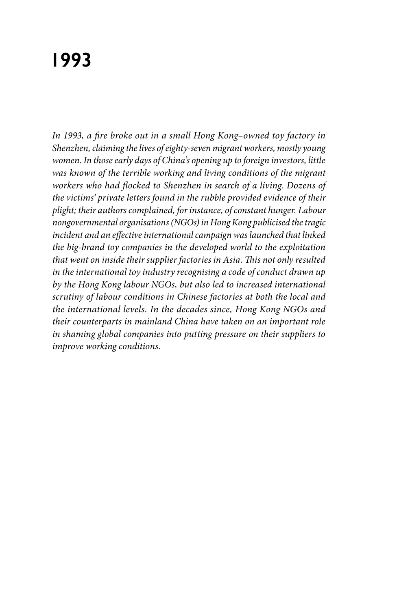# **1993**

*In 1993, a fire broke out in a small Hong Kong–owned toy factory in Shenzhen, claiming the lives of eighty-seven migrant workers, mostly young women. In those early days of China's opening up to foreign investors, little was known of the terrible working and living conditions of the migrant workers who had flocked to Shenzhen in search of a living. Dozens of the victims' private letters found in the rubble provided evidence of their plight; their authors complained, for instance, of constant hunger. Labour nongovernmental organisations (NGOs) in Hong Kong publicised the tragic incident and an effective international campaign was launched that linked the big-brand toy companies in the developed world to the exploitation that went on inside their supplier factories in Asia. This not only resulted in the international toy industry recognising a code of conduct drawn up by the Hong Kong labour NGOs, but also led to increased international scrutiny of labour conditions in Chinese factories at both the local and the international levels. In the decades since, Hong Kong NGOs and their counterparts in mainland China have taken on an important role in shaming global companies into putting pressure on their suppliers to improve working conditions.*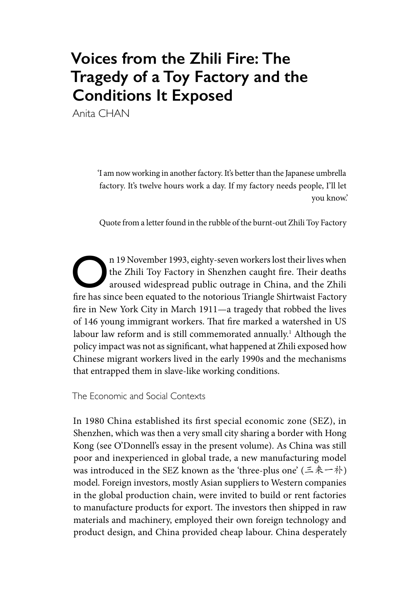## **Voices from the Zhili Fire: The Tragedy of a Toy Factory and the Conditions It Exposed**

Anita CHAN

'I am now working in another factory. It's better than the Japanese umbrella factory. It's twelve hours work a day. If my factory needs people, I'll let you know.'

Quote from a letter found in the rubble of the burnt-out Zhili Toy Factory

n 19 November 1993, eighty-seven workers lost their lives when<br>the Zhili Toy Factory in Shenzhen caught fire. Their deaths<br>aroused widespread public outrage in China, and the Zhili<br>fire has einer been causted to the notari the Zhili Toy Factory in Shenzhen caught fire. Their deaths aroused widespread public outrage in China, and the Zhili fire has since been equated to the notorious Triangle Shirtwaist Factory fire in New York City in March 1911—a tragedy that robbed the lives of 146 young immigrant workers. That fire marked a watershed in US labour law reform and is still commemorated annually.<sup>1</sup> Although the policy impact was not as significant, what happened at Zhili exposed how Chinese migrant workers lived in the early 1990s and the mechanisms that entrapped them in slave-like working conditions.

The Economic and Social Contexts

In 1980 China established its first special economic zone (SEZ), in Shenzhen, which was then a very small city sharing a border with Hong Kong (see O'Donnell's essay in the present volume). As China was still poor and inexperienced in global trade, a new manufacturing model was introduced in the SEZ known as the 'three-plus one' (三来一补) model. Foreign investors, mostly Asian suppliers to Western companies in the global production chain, were invited to build or rent factories to manufacture products for export. The investors then shipped in raw materials and machinery, employed their own foreign technology and product design, and China provided cheap labour. China desperately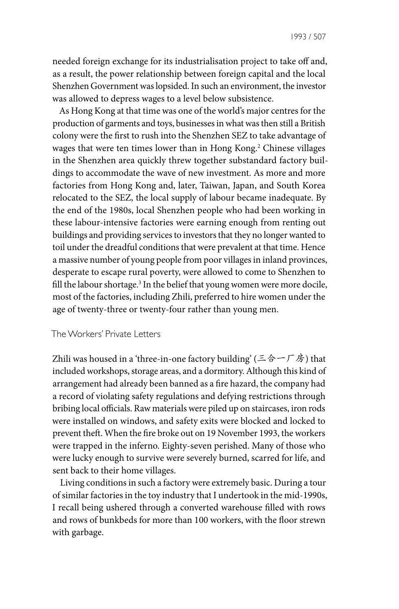1993 / 507

needed foreign exchange for its industrialisation project to take off and, as a result, the power relationship between foreign capital and the local Shenzhen Government was lopsided. In such an environment, the investor was allowed to depress wages to a level below subsistence.

As Hong Kong at that time was one of the world's major centres for the production of garments and toys, businesses in what was then still a British colony were the first to rush into the Shenzhen SEZ to take advantage of wages that were ten times lower than in Hong Kong.2 Chinese villages in the Shenzhen area quickly threw together substandard factory buildings to accommodate the wave of new investment. As more and more factories from Hong Kong and, later, Taiwan, Japan, and South Korea relocated to the SEZ, the local supply of labour became inadequate. By the end of the 1980s, local Shenzhen people who had been working in these labour-intensive factories were earning enough from renting out buildings and providing services to investors that they no longer wanted to toil under the dreadful conditions that were prevalent at that time. Hence a massive number of young people from poor villages in inland provinces, desperate to escape rural poverty, were allowed to come to Shenzhen to fill the labour shortage.<sup>3</sup> In the belief that young women were more docile, most of the factories, including Zhili, preferred to hire women under the age of twenty-three or twenty-four rather than young men.

#### The Workers' Private Letters

Zhili was housed in a 'three-in-one factory building' (三合一厂房) that included workshops, storage areas, and a dormitory. Although this kind of arrangement had already been banned as a fire hazard, the company had a record of violating safety regulations and defying restrictions through bribing local officials. Raw materials were piled up on staircases, iron rods were installed on windows, and safety exits were blocked and locked to prevent theft. When the fire broke out on 19 November 1993, the workers were trapped in the inferno. Eighty-seven perished. Many of those who were lucky enough to survive were severely burned, scarred for life, and sent back to their home villages.

Living conditions in such a factory were extremely basic. During a tour of similar factories in the toy industry that I undertook in the mid-1990s, I recall being ushered through a converted warehouse filled with rows and rows of bunkbeds for more than 100 workers, with the floor strewn with garbage.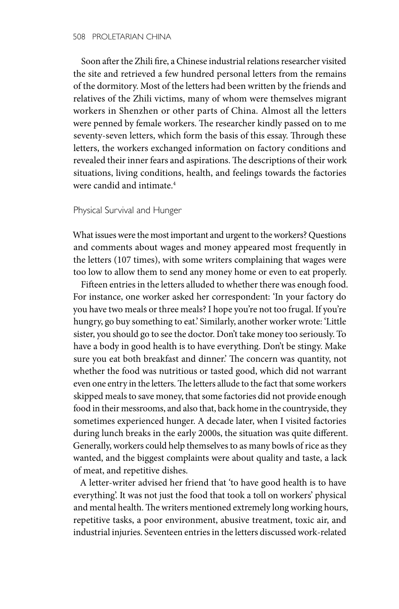Soon after the Zhili fire, a Chinese industrial relations researcher visited the site and retrieved a few hundred personal letters from the remains of the dormitory. Most of the letters had been written by the friends and relatives of the Zhili victims, many of whom were themselves migrant workers in Shenzhen or other parts of China. Almost all the letters were penned by female workers. The researcher kindly passed on to me seventy-seven letters, which form the basis of this essay. Through these letters, the workers exchanged information on factory conditions and revealed their inner fears and aspirations. The descriptions of their work situations, living conditions, health, and feelings towards the factories were candid and intimate.<sup>4</sup>

#### Physical Survival and Hunger

What issues were the most important and urgent to the workers? Questions and comments about wages and money appeared most frequently in the letters (107 times), with some writers complaining that wages were too low to allow them to send any money home or even to eat properly.

Fifteen entries in the letters alluded to whether there was enough food. For instance, one worker asked her correspondent: 'In your factory do you have two meals or three meals? I hope you're not too frugal. If you're hungry, go buy something to eat.' Similarly, another worker wrote: 'Little sister, you should go to see the doctor. Don't take money too seriously. To have a body in good health is to have everything. Don't be stingy. Make sure you eat both breakfast and dinner.' The concern was quantity, not whether the food was nutritious or tasted good, which did not warrant even one entry in the letters. The letters allude to the fact that some workers skipped meals to save money, that some factories did not provide enough food in their messrooms, and also that, back home in the countryside, they sometimes experienced hunger. A decade later, when I visited factories during lunch breaks in the early 2000s, the situation was quite different. Generally, workers could help themselves to as many bowls of rice as they wanted, and the biggest complaints were about quality and taste, a lack of meat, and repetitive dishes.

A letter-writer advised her friend that 'to have good health is to have everything'. It was not just the food that took a toll on workers' physical and mental health. The writers mentioned extremely long working hours, repetitive tasks, a poor environment, abusive treatment, toxic air, and industrial injuries. Seventeen entries in the letters discussed work-related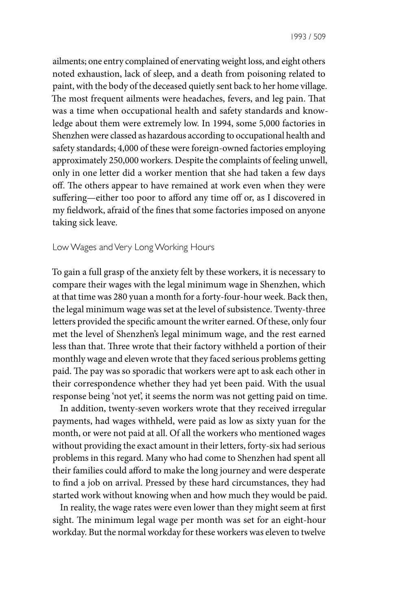1993 / 509

ailments; one entry complained of enervating weight loss, and eight others noted exhaustion, lack of sleep, and a death from poisoning related to paint, with the body of the deceased quietly sent back to her home village. The most frequent ailments were headaches, fevers, and leg pain. That was a time when occupational health and safety standards and knowledge about them were extremely low. In 1994, some 5,000 factories in Shenzhen were classed as hazardous according to occupational health and safety standards; 4,000 of these were foreign-owned factories employing approximately 250,000 workers. Despite the complaints of feeling unwell, only in one letter did a worker mention that she had taken a few days off. The others appear to have remained at work even when they were suffering—either too poor to afford any time off or, as I discovered in my fieldwork, afraid of the fines that some factories imposed on anyone taking sick leave.

#### Low Wages and Very Long Working Hours

To gain a full grasp of the anxiety felt by these workers, it is necessary to compare their wages with the legal minimum wage in Shenzhen, which at that time was 280 yuan a month for a forty-four-hour week. Back then, the legal minimum wage was set at the level of subsistence. Twenty-three letters provided the specific amount the writer earned. Of these, only four met the level of Shenzhen's legal minimum wage, and the rest earned less than that. Three wrote that their factory withheld a portion of their monthly wage and eleven wrote that they faced serious problems getting paid. The pay was so sporadic that workers were apt to ask each other in their correspondence whether they had yet been paid. With the usual response being 'not yet', it seems the norm was not getting paid on time.

In addition, twenty-seven workers wrote that they received irregular payments, had wages withheld, were paid as low as sixty yuan for the month, or were not paid at all. Of all the workers who mentioned wages without providing the exact amount in their letters, forty-six had serious problems in this regard. Many who had come to Shenzhen had spent all their families could afford to make the long journey and were desperate to find a job on arrival. Pressed by these hard circumstances, they had started work without knowing when and how much they would be paid.

In reality, the wage rates were even lower than they might seem at first sight. The minimum legal wage per month was set for an eight-hour workday. But the normal workday for these workers was eleven to twelve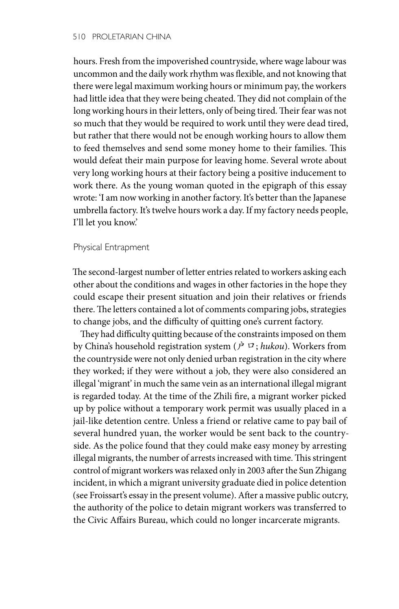hours. Fresh from the impoverished countryside, where wage labour was uncommon and the daily work rhythm was flexible, and not knowing that there were legal maximum working hours or minimum pay, the workers had little idea that they were being cheated. They did not complain of the long working hours in their letters, only of being tired. Their fear was not so much that they would be required to work until they were dead tired, but rather that there would not be enough working hours to allow them to feed themselves and send some money home to their families. This would defeat their main purpose for leaving home. Several wrote about very long working hours at their factory being a positive inducement to work there. As the young woman quoted in the epigraph of this essay wrote: 'I am now working in another factory. It's better than the Japanese umbrella factory. It's twelve hours work a day. If my factory needs people, I'll let you know.'

#### Physical Entrapment

The second-largest number of letter entries related to workers asking each other about the conditions and wages in other factories in the hope they could escape their present situation and join their relatives or friends there. The letters contained a lot of comments comparing jobs, strategies to change jobs, and the difficulty of quitting one's current factory.

They had difficulty quitting because of the constraints imposed on them by China's household registration system (户口; *hukou*). Workers from the countryside were not only denied urban registration in the city where they worked; if they were without a job, they were also considered an illegal 'migrant' in much the same vein as an international illegal migrant is regarded today. At the time of the Zhili fire, a migrant worker picked up by police without a temporary work permit was usually placed in a jail-like detention centre. Unless a friend or relative came to pay bail of several hundred yuan, the worker would be sent back to the countryside. As the police found that they could make easy money by arresting illegal migrants, the number of arrests increased with time. This stringent control of migrant workers was relaxed only in 2003 after the Sun Zhigang incident, in which a migrant university graduate died in police detention (see Froissart's essay in the present volume). After a massive public outcry, the authority of the police to detain migrant workers was transferred to the Civic Affairs Bureau, which could no longer incarcerate migrants.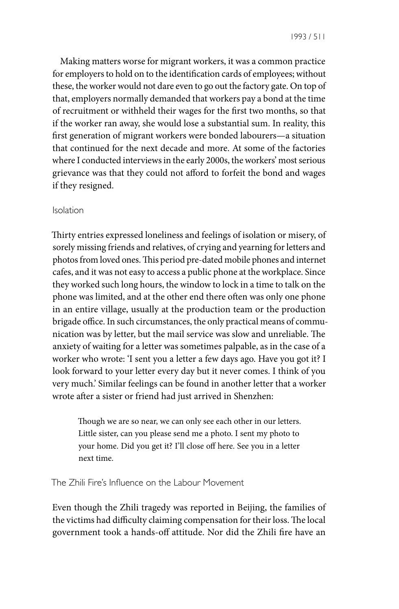1993 / 511

Making matters worse for migrant workers, it was a common practice for employers to hold on to the identification cards of employees; without these, the worker would not dare even to go out the factory gate. On top of that, employers normally demanded that workers pay a bond at the time of recruitment or withheld their wages for the first two months, so that if the worker ran away, she would lose a substantial sum. In reality, this first generation of migrant workers were bonded labourers—a situation that continued for the next decade and more. At some of the factories where I conducted interviews in the early 2000s, the workers' most serious grievance was that they could not afford to forfeit the bond and wages if they resigned.

### Isolation

Thirty entries expressed loneliness and feelings of isolation or misery, of sorely missing friends and relatives, of crying and yearning for letters and photos from loved ones. This period pre-dated mobile phones and internet cafes, and it was not easy to access a public phone at the workplace. Since they worked such long hours, the window to lock in a time to talk on the phone was limited, and at the other end there often was only one phone in an entire village, usually at the production team or the production brigade office. In such circumstances, the only practical means of communication was by letter, but the mail service was slow and unreliable. The anxiety of waiting for a letter was sometimes palpable, as in the case of a worker who wrote: 'I sent you a letter a few days ago. Have you got it? I look forward to your letter every day but it never comes. I think of you very much.' Similar feelings can be found in another letter that a worker wrote after a sister or friend had just arrived in Shenzhen:

Though we are so near, we can only see each other in our letters. Little sister, can you please send me a photo. I sent my photo to your home. Did you get it? I'll close off here. See you in a letter next time.

The Zhili Fire's Influence on the Labour Movement

Even though the Zhili tragedy was reported in Beijing, the families of the victims had difficulty claiming compensation for their loss. The local government took a hands-off attitude. Nor did the Zhili fire have an